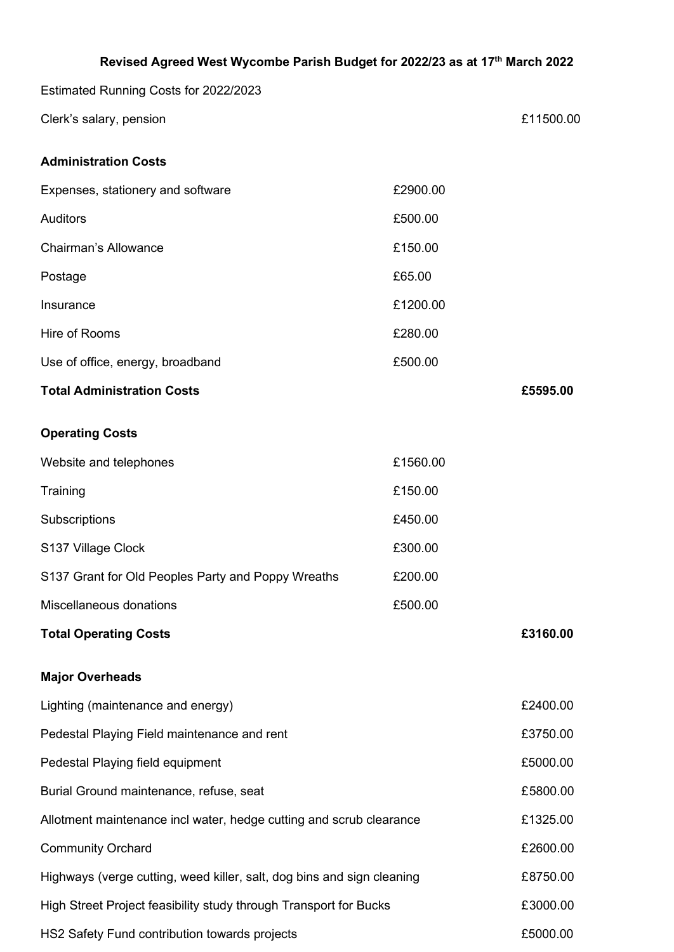| Revised Agreed West Wycombe Parish Budget for 2022/23 as at 17th March 2022 |          |           |
|-----------------------------------------------------------------------------|----------|-----------|
| Estimated Running Costs for 2022/2023                                       |          |           |
| Clerk's salary, pension                                                     |          | £11500.00 |
| <b>Administration Costs</b>                                                 |          |           |
| Expenses, stationery and software                                           | £2900.00 |           |
| <b>Auditors</b>                                                             | £500.00  |           |
| <b>Chairman's Allowance</b>                                                 | £150.00  |           |
| Postage                                                                     | £65.00   |           |
| Insurance                                                                   | £1200.00 |           |
| Hire of Rooms                                                               | £280.00  |           |
| Use of office, energy, broadband                                            | £500.00  |           |
| <b>Total Administration Costs</b>                                           |          | £5595.00  |
| <b>Operating Costs</b>                                                      |          |           |
| Website and telephones                                                      | £1560.00 |           |
| Training                                                                    | £150.00  |           |
| Subscriptions                                                               | £450.00  |           |
| S137 Village Clock                                                          | £300.00  |           |
| S137 Grant for Old Peoples Party and Poppy Wreaths                          | £200.00  |           |
| Miscellaneous donations                                                     | £500.00  |           |
| <b>Total Operating Costs</b>                                                |          | £3160.00  |
| <b>Major Overheads</b>                                                      |          |           |
| Lighting (maintenance and energy)                                           |          | £2400.00  |
| Pedestal Playing Field maintenance and rent                                 |          | £3750.00  |
| Pedestal Playing field equipment                                            |          | £5000.00  |
| Burial Ground maintenance, refuse, seat                                     |          | £5800.00  |
| Allotment maintenance incl water, hedge cutting and scrub clearance         |          | £1325.00  |
| <b>Community Orchard</b>                                                    |          | £2600.00  |
| Highways (verge cutting, weed killer, salt, dog bins and sign cleaning      |          | £8750.00  |
| High Street Project feasibility study through Transport for Bucks           |          | £3000.00  |
| HS2 Safety Fund contribution towards projects                               |          | £5000.00  |